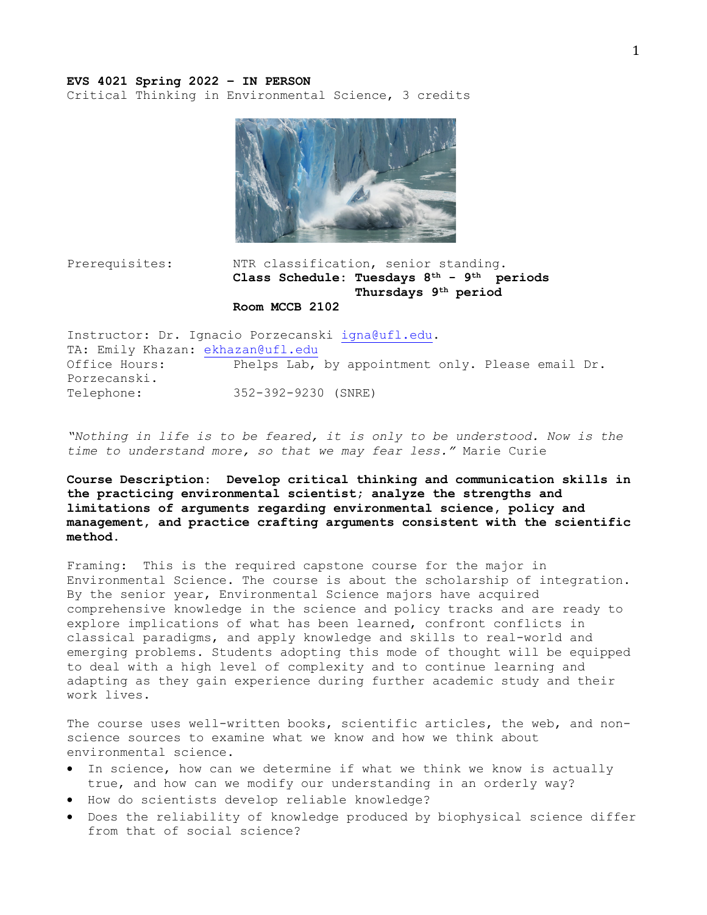#### **EVS 4021 Spring 2022 – IN PERSON**

Critical Thinking in Environmental Science, 3 credits



# Prerequisites: NTR classification, senior standing. **Class Schedule: Tuesdays 8th - 9th periods Thursdays 9th period Room MCCB 2102**

Instructor: Dr. Ignacio Porzecanski igna@ufl.edu. TA: Emily Khazan: ekhazan@ufl.edu Office Hours: Phelps Lab, by appointment only. Please email Dr. Porzecanski. Telephone: 352-392-9230 (SNRE)

"*Nothing in life is to be feared, it is only to be understood. Now is the time to understand more, so that we may fear less."* Marie Curie

**Course Description: Develop critical thinking and communication skills in the practicing environmental scientist; analyze the strengths and limitations of arguments regarding environmental science, policy and management, and practice crafting arguments consistent with the scientific method.**

Framing: This is the required capstone course for the major in Environmental Science. The course is about the scholarship of integration. By the senior year, Environmental Science majors have acquired comprehensive knowledge in the science and policy tracks and are ready to explore implications of what has been learned, confront conflicts in classical paradigms, and apply knowledge and skills to real-world and emerging problems. Students adopting this mode of thought will be equipped to deal with a high level of complexity and to continue learning and adapting as they gain experience during further academic study and their work lives.

The course uses well-written books, scientific articles, the web, and nonscience sources to examine what we know and how we think about environmental science.

- In science, how can we determine if what we think we know is actually true, and how can we modify our understanding in an orderly way?
- How do scientists develop reliable knowledge?
- Does the reliability of knowledge produced by biophysical science differ from that of social science?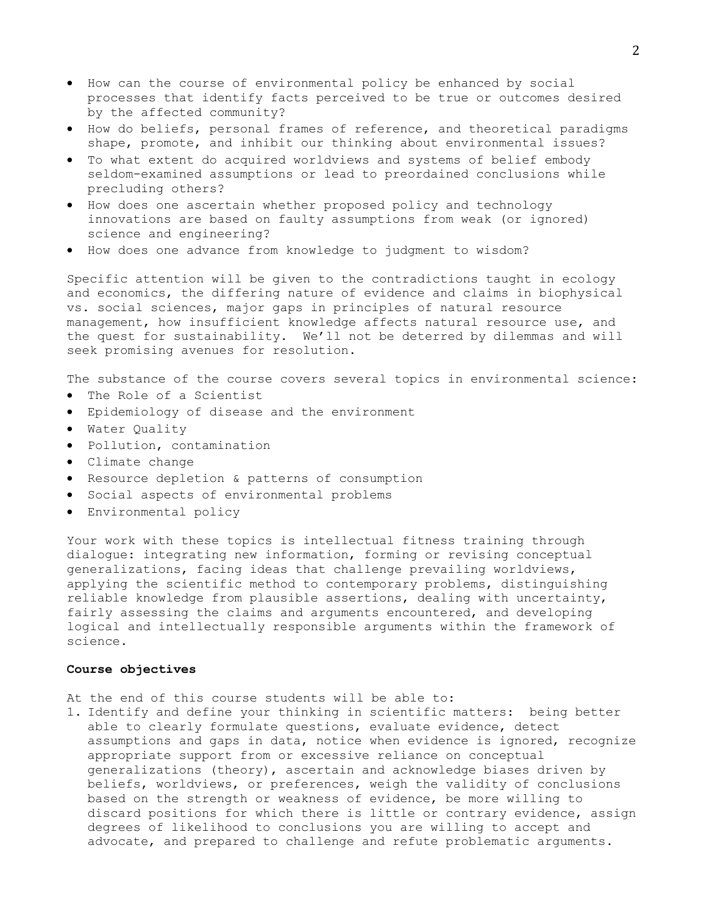- How can the course of environmental policy be enhanced by social processes that identify facts perceived to be true or outcomes desired by the affected community?
- How do beliefs, personal frames of reference, and theoretical paradigms shape, promote, and inhibit our thinking about environmental issues?
- To what extent do acquired worldviews and systems of belief embody seldom-examined assumptions or lead to preordained conclusions while precluding others?
- How does one ascertain whether proposed policy and technology innovations are based on faulty assumptions from weak (or ignored) science and engineering?
- How does one advance from knowledge to judgment to wisdom?

Specific attention will be given to the contradictions taught in ecology and economics, the differing nature of evidence and claims in biophysical vs. social sciences, major gaps in principles of natural resource management, how insufficient knowledge affects natural resource use, and the quest for sustainability. We'll not be deterred by dilemmas and will seek promising avenues for resolution.

The substance of the course covers several topics in environmental science:

- The Role of a Scientist
- Epidemiology of disease and the environment
- Water Quality
- Pollution, contamination
- Climate change
- Resource depletion & patterns of consumption
- Social aspects of environmental problems
- Environmental policy

Your work with these topics is intellectual fitness training through dialogue: integrating new information, forming or revising conceptual generalizations, facing ideas that challenge prevailing worldviews, applying the scientific method to contemporary problems, distinguishing reliable knowledge from plausible assertions, dealing with uncertainty, fairly assessing the claims and arguments encountered, and developing logical and intellectually responsible arguments within the framework of science.

#### **Course objectives**

At the end of this course students will be able to:

1. Identify and define your thinking in scientific matters: being better able to clearly formulate questions, evaluate evidence, detect assumptions and gaps in data, notice when evidence is ignored, recognize appropriate support from or excessive reliance on conceptual generalizations (theory), ascertain and acknowledge biases driven by beliefs, worldviews, or preferences, weigh the validity of conclusions based on the strength or weakness of evidence, be more willing to discard positions for which there is little or contrary evidence, assign degrees of likelihood to conclusions you are willing to accept and advocate, and prepared to challenge and refute problematic arguments.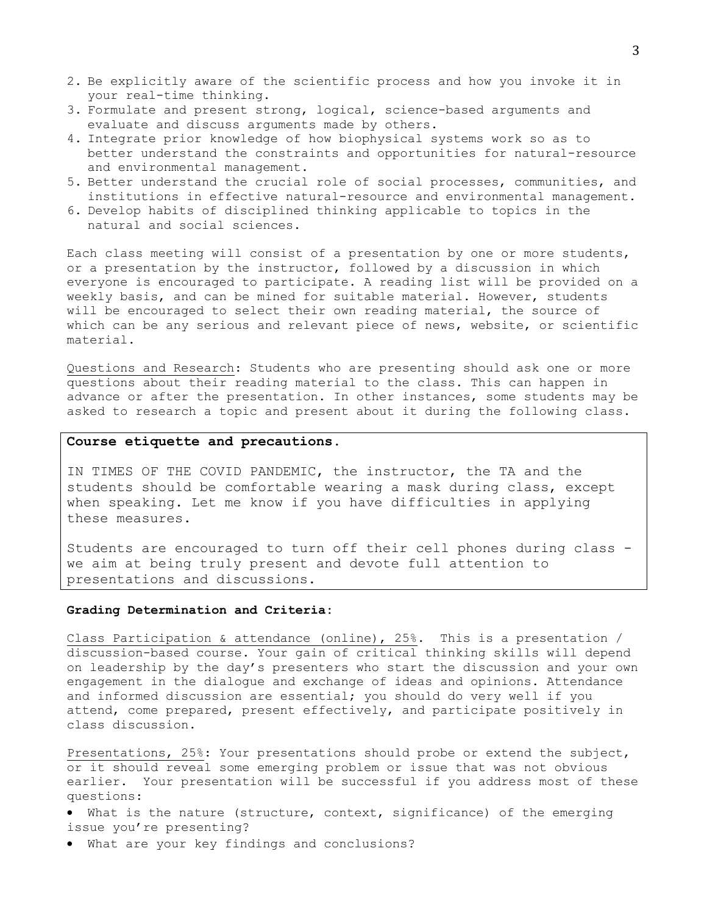- 2. Be explicitly aware of the scientific process and how you invoke it in your real-time thinking.
- 3. Formulate and present strong, logical, science-based arguments and evaluate and discuss arguments made by others.
- 4. Integrate prior knowledge of how biophysical systems work so as to better understand the constraints and opportunities for natural-resource and environmental management.
- 5. Better understand the crucial role of social processes, communities, and institutions in effective natural-resource and environmental management.
- 6. Develop habits of disciplined thinking applicable to topics in the natural and social sciences.

Each class meeting will consist of a presentation by one or more students, or a presentation by the instructor, followed by a discussion in which everyone is encouraged to participate. A reading list will be provided on a weekly basis, and can be mined for suitable material. However, students will be encouraged to select their own reading material, the source of which can be any serious and relevant piece of news, website, or scientific material.

Questions and Research: Students who are presenting should ask one or more questions about their reading material to the class. This can happen in advance or after the presentation. In other instances, some students may be asked to research a topic and present about it during the following class.

### **Course etiquette and precautions.**

IN TIMES OF THE COVID PANDEMIC, the instructor, the TA and the students should be comfortable wearing a mask during class, except when speaking. Let me know if you have difficulties in applying these measures.

Students are encouraged to turn off their cell phones during class we aim at being truly present and devote full attention to presentations and discussions.

#### **Grading Determination and Criteria:**

Class Participation & attendance (online), 25%. This is a presentation / discussion-based course. Your gain of critical thinking skills will depend on leadership by the day's presenters who start the discussion and your own engagement in the dialogue and exchange of ideas and opinions. Attendance and informed discussion are essential; you should do very well if you attend, come prepared, present effectively, and participate positively in class discussion.

Presentations, 25%: Your presentations should probe or extend the subject, or it should reveal some emerging problem or issue that was not obvious earlier. Your presentation will be successful if you address most of these questions:

- What is the nature (structure, context, significance) of the emerging issue you're presenting?
- What are your key findings and conclusions?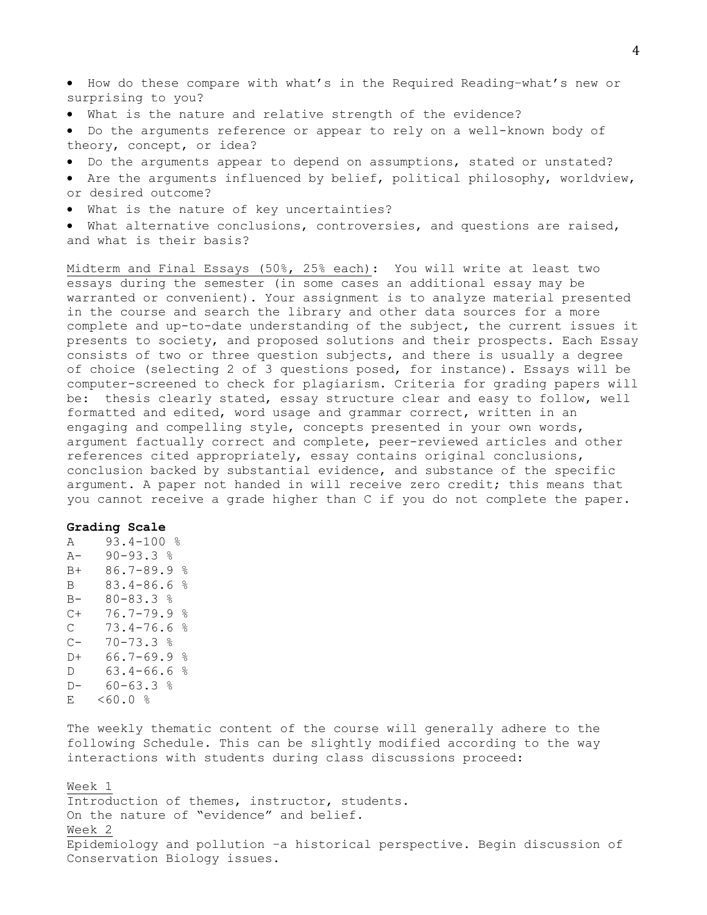- How do these compare with what's in the Required Reading–what's new or surprising to you?
- What is the nature and relative strength of the evidence?
- Do the arguments reference or appear to rely on a well-known body of theory, concept, or idea?
- Do the arguments appear to depend on assumptions, stated or unstated?
- Are the arguments influenced by belief, political philosophy, worldview, or desired outcome?
- What is the nature of key uncertainties?
- What alternative conclusions, controversies, and questions are raised, and what is their basis?

Midterm and Final Essays (50%, 25% each): You will write at least two essays during the semester (in some cases an additional essay may be warranted or convenient). Your assignment is to analyze material presented in the course and search the library and other data sources for a more complete and up-to-date understanding of the subject, the current issues it presents to society, and proposed solutions and their prospects. Each Essay consists of two or three question subjects, and there is usually a degree of choice (selecting 2 of 3 questions posed, for instance). Essays will be computer-screened to check for plagiarism. Criteria for grading papers will be: thesis clearly stated, essay structure clear and easy to follow, well formatted and edited, word usage and grammar correct, written in an engaging and compelling style, concepts presented in your own words, argument factually correct and complete, peer-reviewed articles and other references cited appropriately, essay contains original conclusions, conclusion backed by substantial evidence, and substance of the specific argument. A paper not handed in will receive zero credit; this means that you cannot receive a grade higher than C if you do not complete the paper.

## **Grading Scale**

A 93.4-100 %  $A - 90 - 93.3$  % B+ 86.7-89.9 % B 83.4-86.6 % B- 80-83.3 %  $C+ 76.7-79.9$  % C  $73.4-76.6 %$ <br>C-  $70-73.3 %$  $70 - 73.3$  % D+ 66.7-69.9 %  $D = 63.4 - 66.6$  %  $D - 60 - 63.3$  % E <60.0 %

The weekly thematic content of the course will generally adhere to the following Schedule. This can be slightly modified according to the way interactions with students during class discussions proceed:

Week 1 Introduction of themes, instructor, students. On the nature of "evidence" and belief. Week 2 Epidemiology and pollution –a historical perspective. Begin discussion of Conservation Biology issues.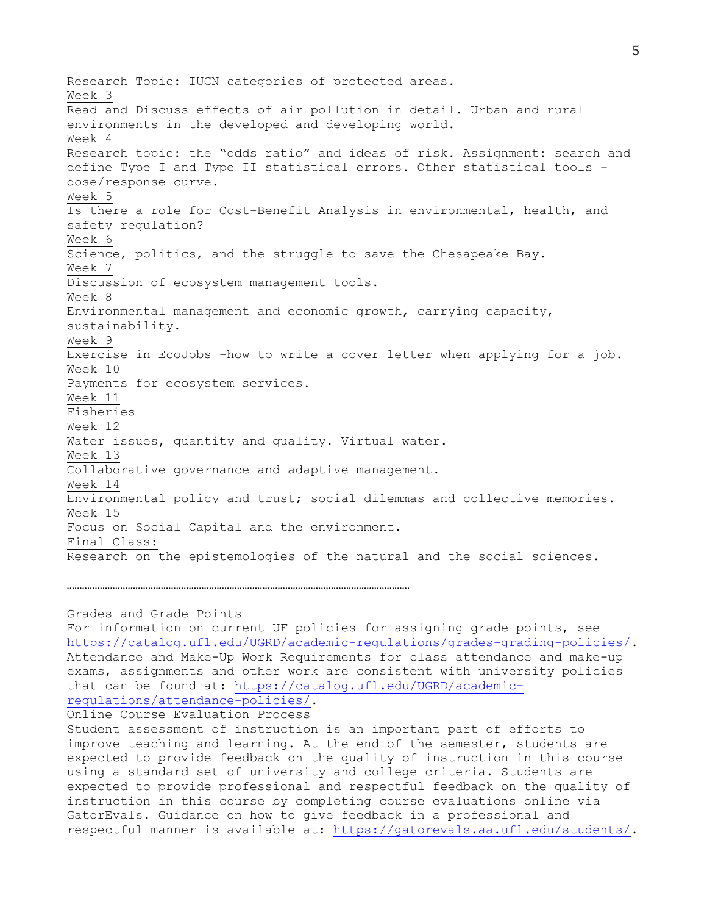Research Topic: IUCN categories of protected areas. Week 3 Read and Discuss effects of air pollution in detail. Urban and rural environments in the developed and developing world. Week 4 Research topic: the "odds ratio" and ideas of risk. Assignment: search and define Type I and Type II statistical errors. Other statistical tools – dose/response curve. Week 5 Is there a role for Cost-Benefit Analysis in environmental, health, and safety regulation? Week 6 Science, politics, and the struggle to save the Chesapeake Bay. Week 7 Discussion of ecosystem management tools. Week 8 Environmental management and economic growth, carrying capacity, sustainability. Week 9 Exercise in EcoJobs -how to write a cover letter when applying for a job. Week 10 Payments for ecosystem services. Week 11 Fisheries Week 12 Water issues, quantity and quality. Virtual water. Week 13 Collaborative governance and adaptive management. Week 14 Environmental policy and trust; social dilemmas and collective memories. Week 15 Focus on Social Capital and the environment. Final Class: Research on the epistemologies of the natural and the social sciences.

## Grades and Grade Points

For information on current UF policies for assigning grade points, see https://catalog.ufl.edu/UGRD/academic-regulations/grades-grading-policies/. Attendance and Make-Up Work Requirements for class attendance and make-up exams, assignments and other work are consistent with university policies that can be found at: https://catalog.ufl.edu/UGRD/academicregulations/attendance-policies/.

```
Online Course Evaluation Process
```
………………………………………………………………………………………………………………………

Student assessment of instruction is an important part of efforts to improve teaching and learning. At the end of the semester, students are expected to provide feedback on the quality of instruction in this course using a standard set of university and college criteria. Students are expected to provide professional and respectful feedback on the quality of instruction in this course by completing course evaluations online via GatorEvals. Guidance on how to give feedback in a professional and respectful manner is available at: https://gatorevals.aa.ufl.edu/students/.